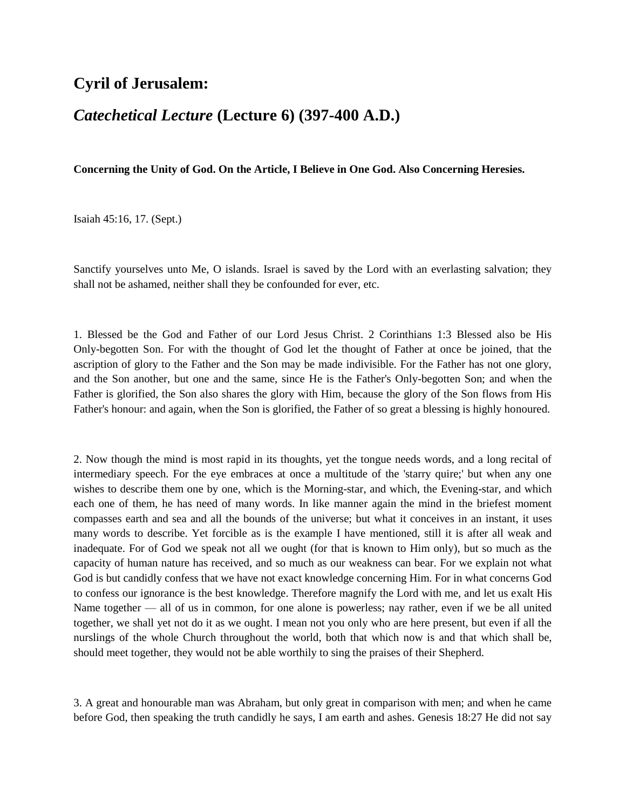## **Cyril of Jerusalem:**

## *Catechetical Lecture* **(Lecture 6) (397-400 A.D.)**

**Concerning the Unity of God. On the Article, I Believe in One God. Also Concerning Heresies.**

Isaiah 45:16, 17. (Sept.)

Sanctify yourselves unto Me, O islands. Israel is saved by the Lord with an everlasting salvation; they shall not be ashamed, neither shall they be confounded for ever, etc.

1. Blessed be the God and Father of our Lord Jesus Christ. 2 Corinthians 1:3 Blessed also be His Only-begotten Son. For with the thought of God let the thought of Father at once be joined, that the ascription of glory to the Father and the Son may be made indivisible. For the Father has not one glory, and the Son another, but one and the same, since He is the Father's Only-begotten Son; and when the Father is glorified, the Son also shares the glory with Him, because the glory of the Son flows from His Father's honour: and again, when the Son is glorified, the Father of so great a blessing is highly honoured.

2. Now though the mind is most rapid in its thoughts, yet the tongue needs words, and a long recital of intermediary speech. For the eye embraces at once a multitude of the 'starry quire;' but when any one wishes to describe them one by one, which is the Morning-star, and which, the Evening-star, and which each one of them, he has need of many words. In like manner again the mind in the briefest moment compasses earth and sea and all the bounds of the universe; but what it conceives in an instant, it uses many words to describe. Yet forcible as is the example I have mentioned, still it is after all weak and inadequate. For of God we speak not all we ought (for that is known to Him only), but so much as the capacity of human nature has received, and so much as our weakness can bear. For we explain not what God is but candidly confess that we have not exact knowledge concerning Him. For in what concerns God to confess our ignorance is the best knowledge. Therefore magnify the Lord with me, and let us exalt His Name together — all of us in common, for one alone is powerless; nay rather, even if we be all united together, we shall yet not do it as we ought. I mean not you only who are here present, but even if all the nurslings of the whole Church throughout the world, both that which now is and that which shall be, should meet together, they would not be able worthily to sing the praises of their Shepherd.

3. A great and honourable man was Abraham, but only great in comparison with men; and when he came before God, then speaking the truth candidly he says, I am earth and ashes. Genesis 18:27 He did not say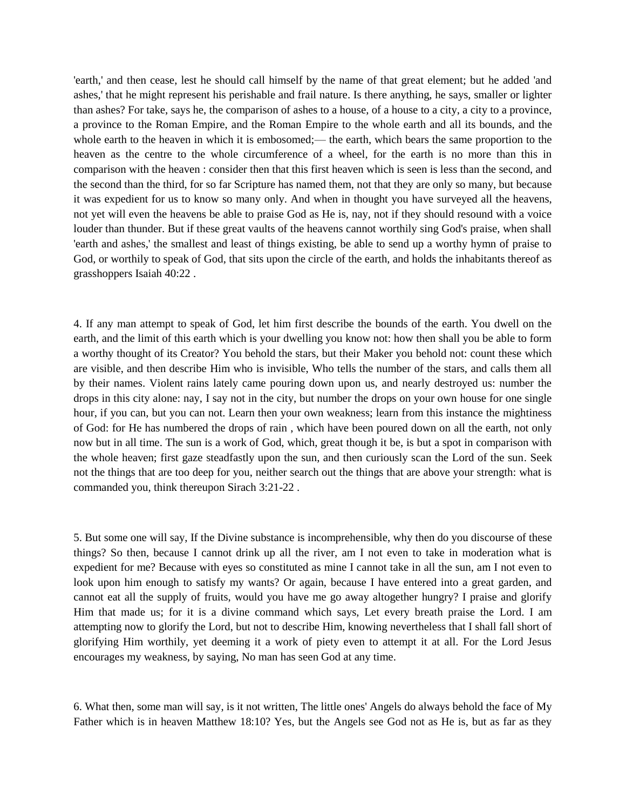'earth,' and then cease, lest he should call himself by the name of that great element; but he added 'and ashes,' that he might represent his perishable and frail nature. Is there anything, he says, smaller or lighter than ashes? For take, says he, the comparison of ashes to a house, of a house to a city, a city to a province, a province to the Roman Empire, and the Roman Empire to the whole earth and all its bounds, and the whole earth to the heaven in which it is embosomed;— the earth, which bears the same proportion to the heaven as the centre to the whole circumference of a wheel, for the earth is no more than this in comparison with the heaven : consider then that this first heaven which is seen is less than the second, and the second than the third, for so far Scripture has named them, not that they are only so many, but because it was expedient for us to know so many only. And when in thought you have surveyed all the heavens, not yet will even the heavens be able to praise God as He is, nay, not if they should resound with a voice louder than thunder. But if these great vaults of the heavens cannot worthily sing God's praise, when shall 'earth and ashes,' the smallest and least of things existing, be able to send up a worthy hymn of praise to God, or worthily to speak of God, that sits upon the circle of the earth, and holds the inhabitants thereof as grasshoppers Isaiah 40:22 .

4. If any man attempt to speak of God, let him first describe the bounds of the earth. You dwell on the earth, and the limit of this earth which is your dwelling you know not: how then shall you be able to form a worthy thought of its Creator? You behold the stars, but their Maker you behold not: count these which are visible, and then describe Him who is invisible, Who tells the number of the stars, and calls them all by their names. Violent rains lately came pouring down upon us, and nearly destroyed us: number the drops in this city alone: nay, I say not in the city, but number the drops on your own house for one single hour, if you can, but you can not. Learn then your own weakness; learn from this instance the mightiness of God: for He has numbered the drops of rain , which have been poured down on all the earth, not only now but in all time. The sun is a work of God, which, great though it be, is but a spot in comparison with the whole heaven; first gaze steadfastly upon the sun, and then curiously scan the Lord of the sun. Seek not the things that are too deep for you, neither search out the things that are above your strength: what is commanded you, think thereupon Sirach 3:21-22 .

5. But some one will say, If the Divine substance is incomprehensible, why then do you discourse of these things? So then, because I cannot drink up all the river, am I not even to take in moderation what is expedient for me? Because with eyes so constituted as mine I cannot take in all the sun, am I not even to look upon him enough to satisfy my wants? Or again, because I have entered into a great garden, and cannot eat all the supply of fruits, would you have me go away altogether hungry? I praise and glorify Him that made us; for it is a divine command which says, Let every breath praise the Lord. I am attempting now to glorify the Lord, but not to describe Him, knowing nevertheless that I shall fall short of glorifying Him worthily, yet deeming it a work of piety even to attempt it at all. For the Lord Jesus encourages my weakness, by saying, No man has seen God at any time.

6. What then, some man will say, is it not written, The little ones' Angels do always behold the face of My Father which is in heaven Matthew 18:10? Yes, but the Angels see God not as He is, but as far as they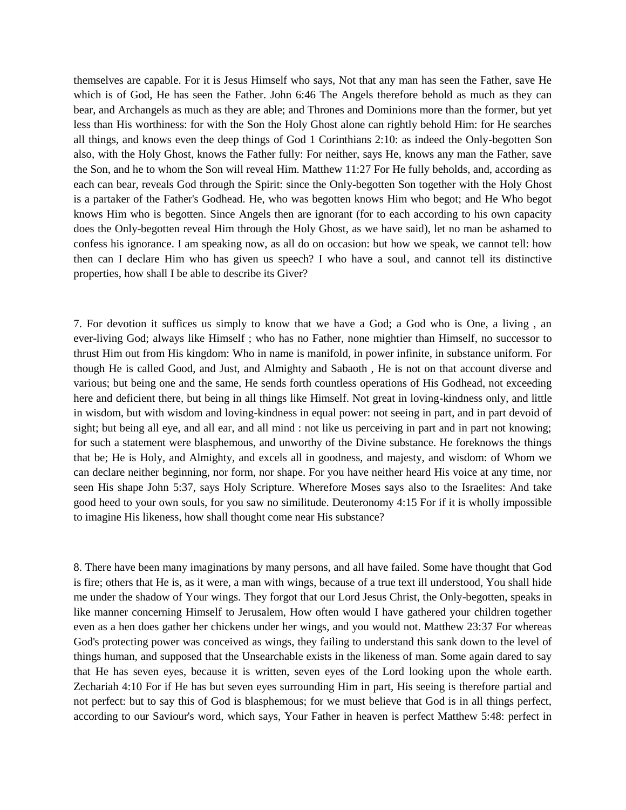themselves are capable. For it is Jesus Himself who says, Not that any man has seen the Father, save He which is of God, He has seen the Father. John 6:46 The Angels therefore behold as much as they can bear, and Archangels as much as they are able; and Thrones and Dominions more than the former, but yet less than His worthiness: for with the Son the Holy Ghost alone can rightly behold Him: for He searches all things, and knows even the deep things of God 1 Corinthians 2:10: as indeed the Only-begotten Son also, with the Holy Ghost, knows the Father fully: For neither, says He, knows any man the Father, save the Son, and he to whom the Son will reveal Him. Matthew 11:27 For He fully beholds, and, according as each can bear, reveals God through the Spirit: since the Only-begotten Son together with the Holy Ghost is a partaker of the Father's Godhead. He, who was begotten knows Him who begot; and He Who begot knows Him who is begotten. Since Angels then are ignorant (for to each according to his own capacity does the Only-begotten reveal Him through the Holy Ghost, as we have said), let no man be ashamed to confess his ignorance. I am speaking now, as all do on occasion: but how we speak, we cannot tell: how then can I declare Him who has given us speech? I who have a soul, and cannot tell its distinctive properties, how shall I be able to describe its Giver?

7. For devotion it suffices us simply to know that we have a God; a God who is One, a living , an ever-living God; always like Himself ; who has no Father, none mightier than Himself, no successor to thrust Him out from His kingdom: Who in name is manifold, in power infinite, in substance uniform. For though He is called Good, and Just, and Almighty and Sabaoth , He is not on that account diverse and various; but being one and the same, He sends forth countless operations of His Godhead, not exceeding here and deficient there, but being in all things like Himself. Not great in loving-kindness only, and little in wisdom, but with wisdom and loving-kindness in equal power: not seeing in part, and in part devoid of sight; but being all eye, and all ear, and all mind : not like us perceiving in part and in part not knowing; for such a statement were blasphemous, and unworthy of the Divine substance. He foreknows the things that be; He is Holy, and Almighty, and excels all in goodness, and majesty, and wisdom: of Whom we can declare neither beginning, nor form, nor shape. For you have neither heard His voice at any time, nor seen His shape John 5:37, says Holy Scripture. Wherefore Moses says also to the Israelites: And take good heed to your own souls, for you saw no similitude. Deuteronomy 4:15 For if it is wholly impossible to imagine His likeness, how shall thought come near His substance?

8. There have been many imaginations by many persons, and all have failed. Some have thought that God is fire; others that He is, as it were, a man with wings, because of a true text ill understood, You shall hide me under the shadow of Your wings. They forgot that our Lord Jesus Christ, the Only-begotten, speaks in like manner concerning Himself to Jerusalem, How often would I have gathered your children together even as a hen does gather her chickens under her wings, and you would not. Matthew 23:37 For whereas God's protecting power was conceived as wings, they failing to understand this sank down to the level of things human, and supposed that the Unsearchable exists in the likeness of man. Some again dared to say that He has seven eyes, because it is written, seven eyes of the Lord looking upon the whole earth. Zechariah 4:10 For if He has but seven eyes surrounding Him in part, His seeing is therefore partial and not perfect: but to say this of God is blasphemous; for we must believe that God is in all things perfect, according to our Saviour's word, which says, Your Father in heaven is perfect Matthew 5:48: perfect in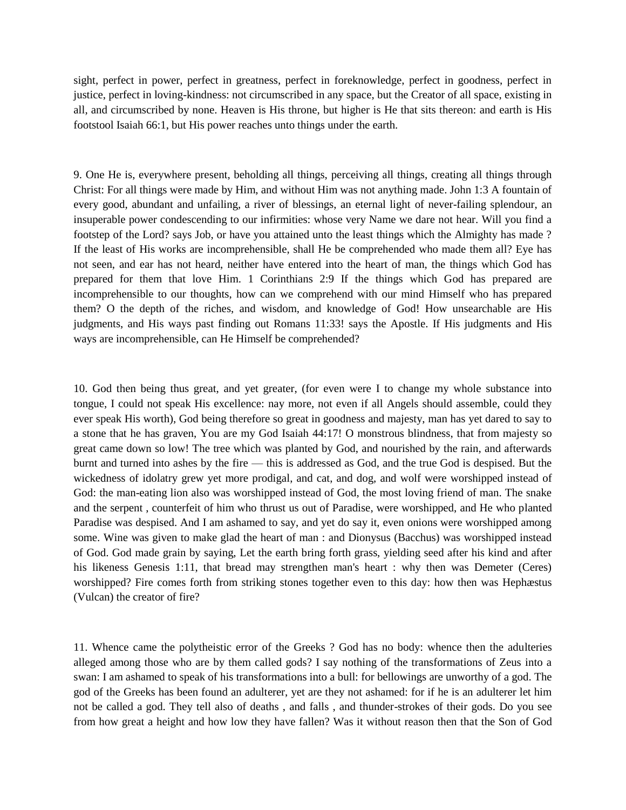sight, perfect in power, perfect in greatness, perfect in foreknowledge, perfect in goodness, perfect in justice, perfect in loving-kindness: not circumscribed in any space, but the Creator of all space, existing in all, and circumscribed by none. Heaven is His throne, but higher is He that sits thereon: and earth is His footstool Isaiah 66:1, but His power reaches unto things under the earth.

9. One He is, everywhere present, beholding all things, perceiving all things, creating all things through Christ: For all things were made by Him, and without Him was not anything made. John 1:3 A fountain of every good, abundant and unfailing, a river of blessings, an eternal light of never-failing splendour, an insuperable power condescending to our infirmities: whose very Name we dare not hear. Will you find a footstep of the Lord? says Job, or have you attained unto the least things which the Almighty has made ? If the least of His works are incomprehensible, shall He be comprehended who made them all? Eye has not seen, and ear has not heard, neither have entered into the heart of man, the things which God has prepared for them that love Him. 1 Corinthians 2:9 If the things which God has prepared are incomprehensible to our thoughts, how can we comprehend with our mind Himself who has prepared them? O the depth of the riches, and wisdom, and knowledge of God! How unsearchable are His judgments, and His ways past finding out Romans 11:33! says the Apostle. If His judgments and His ways are incomprehensible, can He Himself be comprehended?

10. God then being thus great, and yet greater, (for even were I to change my whole substance into tongue, I could not speak His excellence: nay more, not even if all Angels should assemble, could they ever speak His worth), God being therefore so great in goodness and majesty, man has yet dared to say to a stone that he has graven, You are my God Isaiah 44:17! O monstrous blindness, that from majesty so great came down so low! The tree which was planted by God, and nourished by the rain, and afterwards burnt and turned into ashes by the fire — this is addressed as God, and the true God is despised. But the wickedness of idolatry grew yet more prodigal, and cat, and dog, and wolf were worshipped instead of God: the man-eating lion also was worshipped instead of God, the most loving friend of man. The snake and the serpent , counterfeit of him who thrust us out of Paradise, were worshipped, and He who planted Paradise was despised. And I am ashamed to say, and yet do say it, even onions were worshipped among some. Wine was given to make glad the heart of man : and Dionysus (Bacchus) was worshipped instead of God. God made grain by saying, Let the earth bring forth grass, yielding seed after his kind and after his likeness Genesis 1:11, that bread may strengthen man's heart : why then was Demeter (Ceres) worshipped? Fire comes forth from striking stones together even to this day: how then was Hephæstus (Vulcan) the creator of fire?

11. Whence came the polytheistic error of the Greeks ? God has no body: whence then the adulteries alleged among those who are by them called gods? I say nothing of the transformations of Zeus into a swan: I am ashamed to speak of his transformations into a bull: for bellowings are unworthy of a god. The god of the Greeks has been found an adulterer, yet are they not ashamed: for if he is an adulterer let him not be called a god. They tell also of deaths , and falls , and thunder-strokes of their gods. Do you see from how great a height and how low they have fallen? Was it without reason then that the Son of God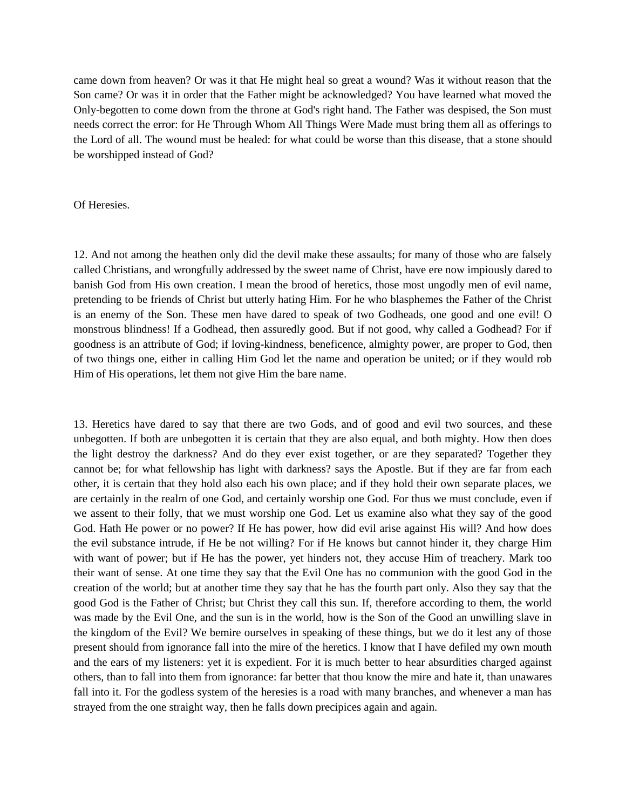came down from heaven? Or was it that He might heal so great a wound? Was it without reason that the Son came? Or was it in order that the Father might be acknowledged? You have learned what moved the Only-begotten to come down from the throne at God's right hand. The Father was despised, the Son must needs correct the error: for He Through Whom All Things Were Made must bring them all as offerings to the Lord of all. The wound must be healed: for what could be worse than this disease, that a stone should be worshipped instead of God?

Of Heresies.

12. And not among the heathen only did the devil make these assaults; for many of those who are falsely called Christians, and wrongfully addressed by the sweet name of Christ, have ere now impiously dared to banish God from His own creation. I mean the brood of heretics, those most ungodly men of evil name, pretending to be friends of Christ but utterly hating Him. For he who blasphemes the Father of the Christ is an enemy of the Son. These men have dared to speak of two Godheads, one good and one evil! O monstrous blindness! If a Godhead, then assuredly good. But if not good, why called a Godhead? For if goodness is an attribute of God; if loving-kindness, beneficence, almighty power, are proper to God, then of two things one, either in calling Him God let the name and operation be united; or if they would rob Him of His operations, let them not give Him the bare name.

13. Heretics have dared to say that there are two Gods, and of good and evil two sources, and these unbegotten. If both are unbegotten it is certain that they are also equal, and both mighty. How then does the light destroy the darkness? And do they ever exist together, or are they separated? Together they cannot be; for what fellowship has light with darkness? says the Apostle. But if they are far from each other, it is certain that they hold also each his own place; and if they hold their own separate places, we are certainly in the realm of one God, and certainly worship one God. For thus we must conclude, even if we assent to their folly, that we must worship one God. Let us examine also what they say of the good God. Hath He power or no power? If He has power, how did evil arise against His will? And how does the evil substance intrude, if He be not willing? For if He knows but cannot hinder it, they charge Him with want of power; but if He has the power, yet hinders not, they accuse Him of treachery. Mark too their want of sense. At one time they say that the Evil One has no communion with the good God in the creation of the world; but at another time they say that he has the fourth part only. Also they say that the good God is the Father of Christ; but Christ they call this sun. If, therefore according to them, the world was made by the Evil One, and the sun is in the world, how is the Son of the Good an unwilling slave in the kingdom of the Evil? We bemire ourselves in speaking of these things, but we do it lest any of those present should from ignorance fall into the mire of the heretics. I know that I have defiled my own mouth and the ears of my listeners: yet it is expedient. For it is much better to hear absurdities charged against others, than to fall into them from ignorance: far better that thou know the mire and hate it, than unawares fall into it. For the godless system of the heresies is a road with many branches, and whenever a man has strayed from the one straight way, then he falls down precipices again and again.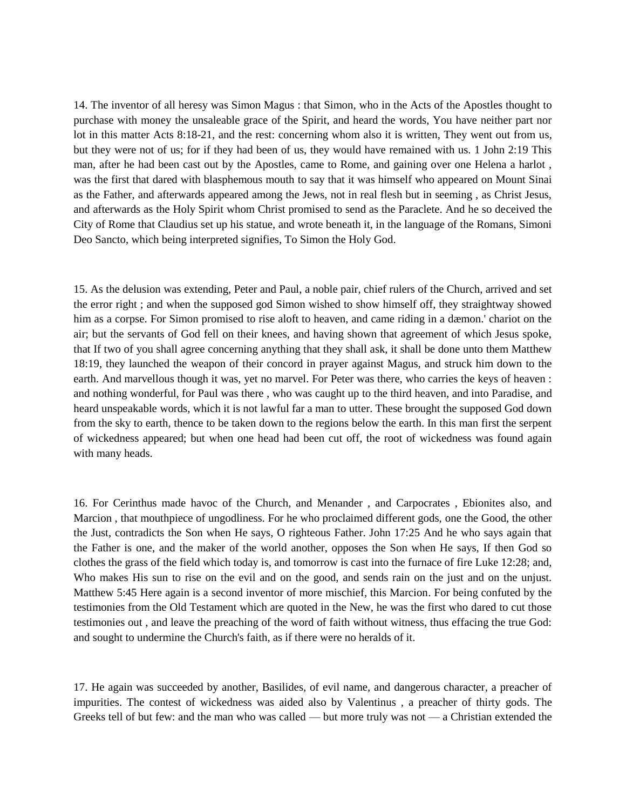14. The inventor of all heresy was Simon Magus : that Simon, who in the Acts of the Apostles thought to purchase with money the unsaleable grace of the Spirit, and heard the words, You have neither part nor lot in this matter Acts 8:18-21, and the rest: concerning whom also it is written, They went out from us, but they were not of us; for if they had been of us, they would have remained with us. 1 John 2:19 This man, after he had been cast out by the Apostles, came to Rome, and gaining over one Helena a harlot , was the first that dared with blasphemous mouth to say that it was himself who appeared on Mount Sinai as the Father, and afterwards appeared among the Jews, not in real flesh but in seeming , as Christ Jesus, and afterwards as the Holy Spirit whom Christ promised to send as the Paraclete. And he so deceived the City of Rome that Claudius set up his statue, and wrote beneath it, in the language of the Romans, Simoni Deo Sancto, which being interpreted signifies, To Simon the Holy God.

15. As the delusion was extending, Peter and Paul, a noble pair, chief rulers of the Church, arrived and set the error right ; and when the supposed god Simon wished to show himself off, they straightway showed him as a corpse. For Simon promised to rise aloft to heaven, and came riding in a dæmon.' chariot on the air; but the servants of God fell on their knees, and having shown that agreement of which Jesus spoke, that If two of you shall agree concerning anything that they shall ask, it shall be done unto them Matthew 18:19, they launched the weapon of their concord in prayer against Magus, and struck him down to the earth. And marvellous though it was, yet no marvel. For Peter was there, who carries the keys of heaven : and nothing wonderful, for Paul was there , who was caught up to the third heaven, and into Paradise, and heard unspeakable words, which it is not lawful far a man to utter. These brought the supposed God down from the sky to earth, thence to be taken down to the regions below the earth. In this man first the serpent of wickedness appeared; but when one head had been cut off, the root of wickedness was found again with many heads.

16. For Cerinthus made havoc of the Church, and Menander , and Carpocrates , Ebionites also, and Marcion , that mouthpiece of ungodliness. For he who proclaimed different gods, one the Good, the other the Just, contradicts the Son when He says, O righteous Father. John 17:25 And he who says again that the Father is one, and the maker of the world another, opposes the Son when He says, If then God so clothes the grass of the field which today is, and tomorrow is cast into the furnace of fire Luke 12:28; and, Who makes His sun to rise on the evil and on the good, and sends rain on the just and on the unjust. Matthew 5:45 Here again is a second inventor of more mischief, this Marcion. For being confuted by the testimonies from the Old Testament which are quoted in the New, he was the first who dared to cut those testimonies out , and leave the preaching of the word of faith without witness, thus effacing the true God: and sought to undermine the Church's faith, as if there were no heralds of it.

17. He again was succeeded by another, Basilides, of evil name, and dangerous character, a preacher of impurities. The contest of wickedness was aided also by Valentinus , a preacher of thirty gods. The Greeks tell of but few: and the man who was called — but more truly was not — a Christian extended the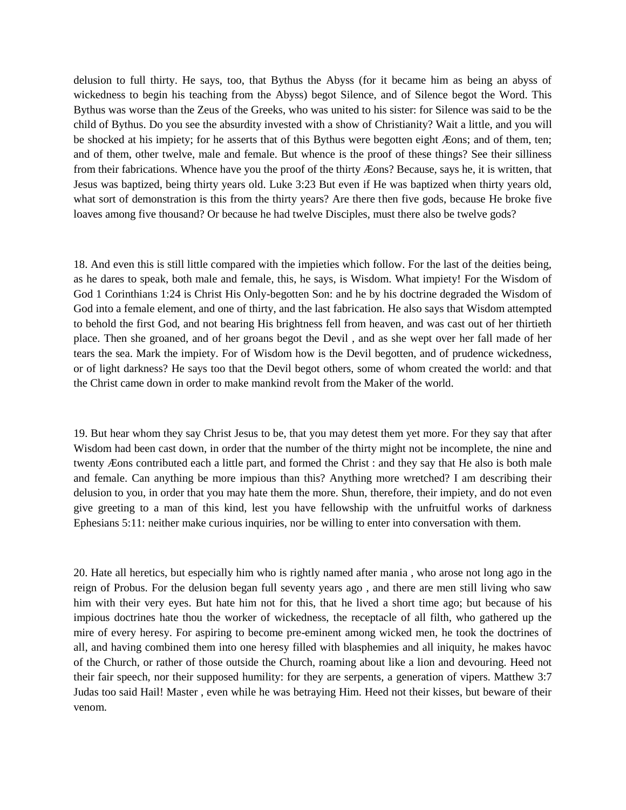delusion to full thirty. He says, too, that Bythus the Abyss (for it became him as being an abyss of wickedness to begin his teaching from the Abyss) begot Silence, and of Silence begot the Word. This Bythus was worse than the Zeus of the Greeks, who was united to his sister: for Silence was said to be the child of Bythus. Do you see the absurdity invested with a show of Christianity? Wait a little, and you will be shocked at his impiety; for he asserts that of this Bythus were begotten eight Æons; and of them, ten; and of them, other twelve, male and female. But whence is the proof of these things? See their silliness from their fabrications. Whence have you the proof of the thirty Æons? Because, says he, it is written, that Jesus was baptized, being thirty years old. Luke 3:23 But even if He was baptized when thirty years old, what sort of demonstration is this from the thirty years? Are there then five gods, because He broke five loaves among five thousand? Or because he had twelve Disciples, must there also be twelve gods?

18. And even this is still little compared with the impieties which follow. For the last of the deities being, as he dares to speak, both male and female, this, he says, is Wisdom. What impiety! For the Wisdom of God 1 Corinthians 1:24 is Christ His Only-begotten Son: and he by his doctrine degraded the Wisdom of God into a female element, and one of thirty, and the last fabrication. He also says that Wisdom attempted to behold the first God, and not bearing His brightness fell from heaven, and was cast out of her thirtieth place. Then she groaned, and of her groans begot the Devil , and as she wept over her fall made of her tears the sea. Mark the impiety. For of Wisdom how is the Devil begotten, and of prudence wickedness, or of light darkness? He says too that the Devil begot others, some of whom created the world: and that the Christ came down in order to make mankind revolt from the Maker of the world.

19. But hear whom they say Christ Jesus to be, that you may detest them yet more. For they say that after Wisdom had been cast down, in order that the number of the thirty might not be incomplete, the nine and twenty Æons contributed each a little part, and formed the Christ : and they say that He also is both male and female. Can anything be more impious than this? Anything more wretched? I am describing their delusion to you, in order that you may hate them the more. Shun, therefore, their impiety, and do not even give greeting to a man of this kind, lest you have fellowship with the unfruitful works of darkness Ephesians 5:11: neither make curious inquiries, nor be willing to enter into conversation with them.

20. Hate all heretics, but especially him who is rightly named after mania , who arose not long ago in the reign of Probus. For the delusion began full seventy years ago , and there are men still living who saw him with their very eyes. But hate him not for this, that he lived a short time ago; but because of his impious doctrines hate thou the worker of wickedness, the receptacle of all filth, who gathered up the mire of every heresy. For aspiring to become pre-eminent among wicked men, he took the doctrines of all, and having combined them into one heresy filled with blasphemies and all iniquity, he makes havoc of the Church, or rather of those outside the Church, roaming about like a lion and devouring. Heed not their fair speech, nor their supposed humility: for they are serpents, a generation of vipers. Matthew 3:7 Judas too said Hail! Master , even while he was betraying Him. Heed not their kisses, but beware of their venom.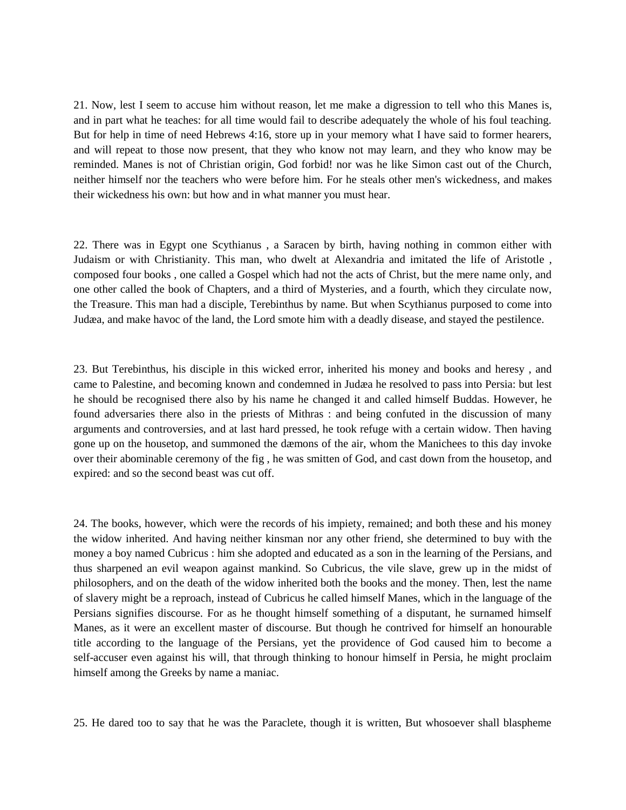21. Now, lest I seem to accuse him without reason, let me make a digression to tell who this Manes is, and in part what he teaches: for all time would fail to describe adequately the whole of his foul teaching. But for help in time of need Hebrews 4:16, store up in your memory what I have said to former hearers, and will repeat to those now present, that they who know not may learn, and they who know may be reminded. Manes is not of Christian origin, God forbid! nor was he like Simon cast out of the Church, neither himself nor the teachers who were before him. For he steals other men's wickedness, and makes their wickedness his own: but how and in what manner you must hear.

22. There was in Egypt one Scythianus , a Saracen by birth, having nothing in common either with Judaism or with Christianity. This man, who dwelt at Alexandria and imitated the life of Aristotle , composed four books , one called a Gospel which had not the acts of Christ, but the mere name only, and one other called the book of Chapters, and a third of Mysteries, and a fourth, which they circulate now, the Treasure. This man had a disciple, Terebinthus by name. But when Scythianus purposed to come into Judæa, and make havoc of the land, the Lord smote him with a deadly disease, and stayed the pestilence.

23. But Terebinthus, his disciple in this wicked error, inherited his money and books and heresy , and came to Palestine, and becoming known and condemned in Judæa he resolved to pass into Persia: but lest he should be recognised there also by his name he changed it and called himself Buddas. However, he found adversaries there also in the priests of Mithras : and being confuted in the discussion of many arguments and controversies, and at last hard pressed, he took refuge with a certain widow. Then having gone up on the housetop, and summoned the dæmons of the air, whom the Manichees to this day invoke over their abominable ceremony of the fig , he was smitten of God, and cast down from the housetop, and expired: and so the second beast was cut off.

24. The books, however, which were the records of his impiety, remained; and both these and his money the widow inherited. And having neither kinsman nor any other friend, she determined to buy with the money a boy named Cubricus : him she adopted and educated as a son in the learning of the Persians, and thus sharpened an evil weapon against mankind. So Cubricus, the vile slave, grew up in the midst of philosophers, and on the death of the widow inherited both the books and the money. Then, lest the name of slavery might be a reproach, instead of Cubricus he called himself Manes, which in the language of the Persians signifies discourse. For as he thought himself something of a disputant, he surnamed himself Manes, as it were an excellent master of discourse. But though he contrived for himself an honourable title according to the language of the Persians, yet the providence of God caused him to become a self-accuser even against his will, that through thinking to honour himself in Persia, he might proclaim himself among the Greeks by name a maniac.

25. He dared too to say that he was the Paraclete, though it is written, But whosoever shall blaspheme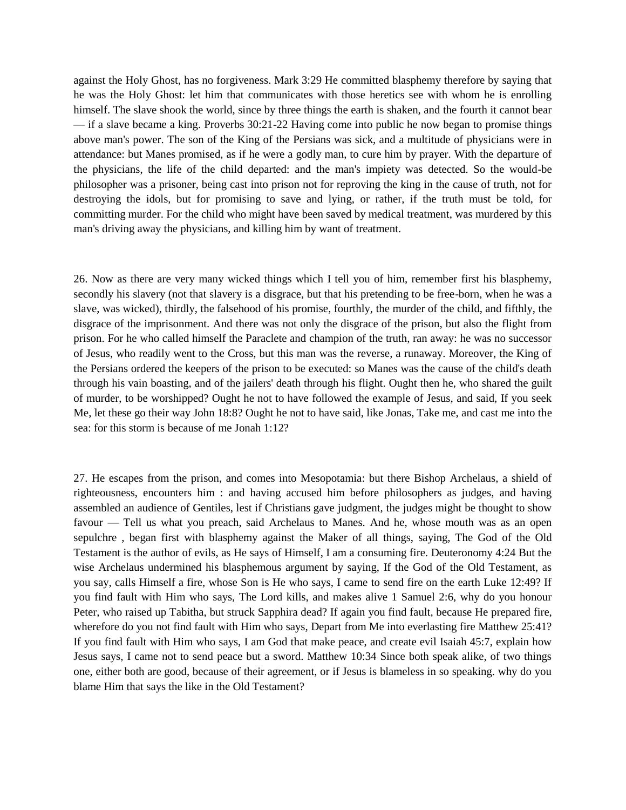against the Holy Ghost, has no forgiveness. Mark 3:29 He committed blasphemy therefore by saying that he was the Holy Ghost: let him that communicates with those heretics see with whom he is enrolling himself. The slave shook the world, since by three things the earth is shaken, and the fourth it cannot bear — if a slave became a king. Proverbs 30:21-22 Having come into public he now began to promise things above man's power. The son of the King of the Persians was sick, and a multitude of physicians were in attendance: but Manes promised, as if he were a godly man, to cure him by prayer. With the departure of the physicians, the life of the child departed: and the man's impiety was detected. So the would-be philosopher was a prisoner, being cast into prison not for reproving the king in the cause of truth, not for destroying the idols, but for promising to save and lying, or rather, if the truth must be told, for committing murder. For the child who might have been saved by medical treatment, was murdered by this man's driving away the physicians, and killing him by want of treatment.

26. Now as there are very many wicked things which I tell you of him, remember first his blasphemy, secondly his slavery (not that slavery is a disgrace, but that his pretending to be free-born, when he was a slave, was wicked), thirdly, the falsehood of his promise, fourthly, the murder of the child, and fifthly, the disgrace of the imprisonment. And there was not only the disgrace of the prison, but also the flight from prison. For he who called himself the Paraclete and champion of the truth, ran away: he was no successor of Jesus, who readily went to the Cross, but this man was the reverse, a runaway. Moreover, the King of the Persians ordered the keepers of the prison to be executed: so Manes was the cause of the child's death through his vain boasting, and of the jailers' death through his flight. Ought then he, who shared the guilt of murder, to be worshipped? Ought he not to have followed the example of Jesus, and said, If you seek Me, let these go their way John 18:8? Ought he not to have said, like Jonas, Take me, and cast me into the sea: for this storm is because of me Jonah 1:12?

27. He escapes from the prison, and comes into Mesopotamia: but there Bishop Archelaus, a shield of righteousness, encounters him : and having accused him before philosophers as judges, and having assembled an audience of Gentiles, lest if Christians gave judgment, the judges might be thought to show favour — Tell us what you preach, said Archelaus to Manes. And he, whose mouth was as an open sepulchre , began first with blasphemy against the Maker of all things, saying, The God of the Old Testament is the author of evils, as He says of Himself, I am a consuming fire. Deuteronomy 4:24 But the wise Archelaus undermined his blasphemous argument by saying, If the God of the Old Testament, as you say, calls Himself a fire, whose Son is He who says, I came to send fire on the earth Luke 12:49? If you find fault with Him who says, The Lord kills, and makes alive 1 Samuel 2:6, why do you honour Peter, who raised up Tabitha, but struck Sapphira dead? If again you find fault, because He prepared fire, wherefore do you not find fault with Him who says, Depart from Me into everlasting fire Matthew 25:41? If you find fault with Him who says, I am God that make peace, and create evil Isaiah 45:7, explain how Jesus says, I came not to send peace but a sword. Matthew 10:34 Since both speak alike, of two things one, either both are good, because of their agreement, or if Jesus is blameless in so speaking. why do you blame Him that says the like in the Old Testament?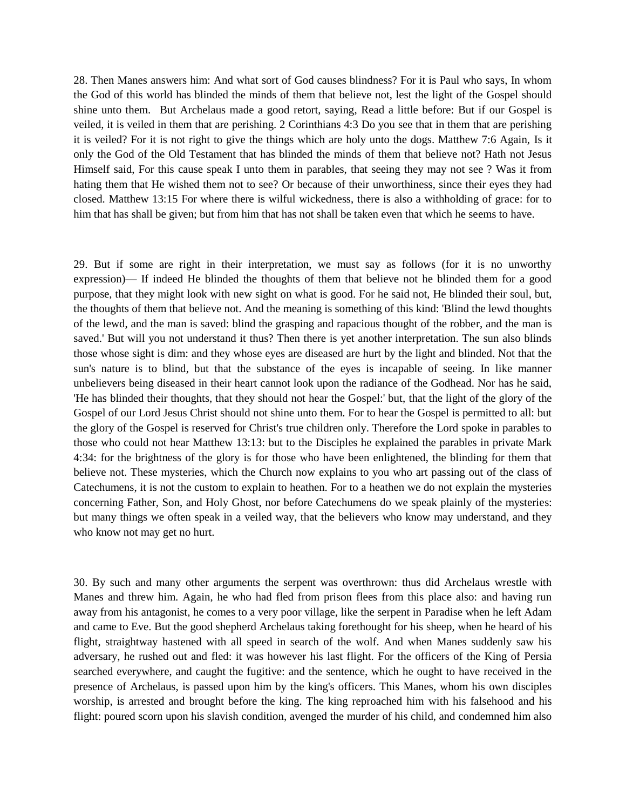28. Then Manes answers him: And what sort of God causes blindness? For it is Paul who says, In whom the God of this world has blinded the minds of them that believe not, lest the light of the Gospel should shine unto them. But Archelaus made a good retort, saying, Read a little before: But if our Gospel is veiled, it is veiled in them that are perishing. 2 Corinthians 4:3 Do you see that in them that are perishing it is veiled? For it is not right to give the things which are holy unto the dogs. Matthew 7:6 Again, Is it only the God of the Old Testament that has blinded the minds of them that believe not? Hath not Jesus Himself said, For this cause speak I unto them in parables, that seeing they may not see ? Was it from hating them that He wished them not to see? Or because of their unworthiness, since their eyes they had closed. Matthew 13:15 For where there is wilful wickedness, there is also a withholding of grace: for to him that has shall be given; but from him that has not shall be taken even that which he seems to have.

29. But if some are right in their interpretation, we must say as follows (for it is no unworthy expression)— If indeed He blinded the thoughts of them that believe not he blinded them for a good purpose, that they might look with new sight on what is good. For he said not, He blinded their soul, but, the thoughts of them that believe not. And the meaning is something of this kind: 'Blind the lewd thoughts of the lewd, and the man is saved: blind the grasping and rapacious thought of the robber, and the man is saved.' But will you not understand it thus? Then there is yet another interpretation. The sun also blinds those whose sight is dim: and they whose eyes are diseased are hurt by the light and blinded. Not that the sun's nature is to blind, but that the substance of the eyes is incapable of seeing. In like manner unbelievers being diseased in their heart cannot look upon the radiance of the Godhead. Nor has he said, 'He has blinded their thoughts, that they should not hear the Gospel:' but, that the light of the glory of the Gospel of our Lord Jesus Christ should not shine unto them. For to hear the Gospel is permitted to all: but the glory of the Gospel is reserved for Christ's true children only. Therefore the Lord spoke in parables to those who could not hear Matthew 13:13: but to the Disciples he explained the parables in private Mark 4:34: for the brightness of the glory is for those who have been enlightened, the blinding for them that believe not. These mysteries, which the Church now explains to you who art passing out of the class of Catechumens, it is not the custom to explain to heathen. For to a heathen we do not explain the mysteries concerning Father, Son, and Holy Ghost, nor before Catechumens do we speak plainly of the mysteries: but many things we often speak in a veiled way, that the believers who know may understand, and they who know not may get no hurt.

30. By such and many other arguments the serpent was overthrown: thus did Archelaus wrestle with Manes and threw him. Again, he who had fled from prison flees from this place also: and having run away from his antagonist, he comes to a very poor village, like the serpent in Paradise when he left Adam and came to Eve. But the good shepherd Archelaus taking forethought for his sheep, when he heard of his flight, straightway hastened with all speed in search of the wolf. And when Manes suddenly saw his adversary, he rushed out and fled: it was however his last flight. For the officers of the King of Persia searched everywhere, and caught the fugitive: and the sentence, which he ought to have received in the presence of Archelaus, is passed upon him by the king's officers. This Manes, whom his own disciples worship, is arrested and brought before the king. The king reproached him with his falsehood and his flight: poured scorn upon his slavish condition, avenged the murder of his child, and condemned him also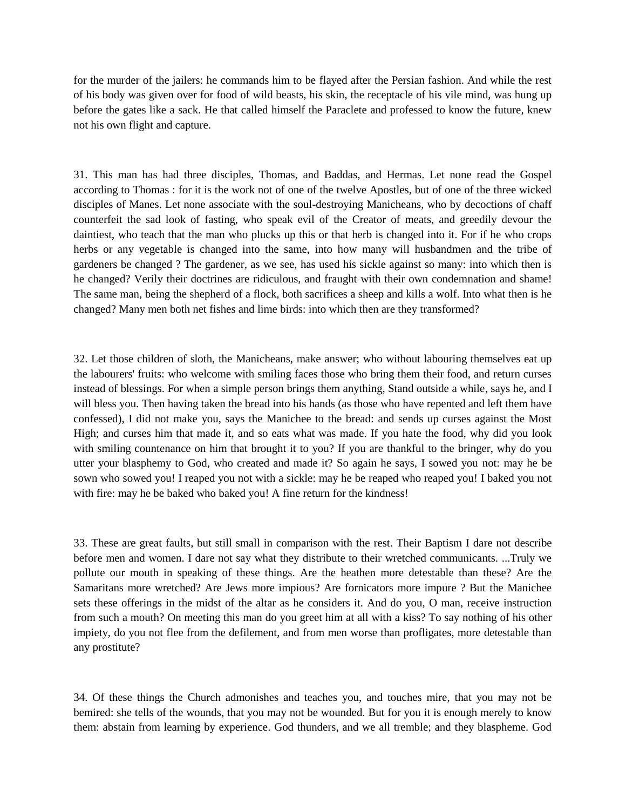for the murder of the jailers: he commands him to be flayed after the Persian fashion. And while the rest of his body was given over for food of wild beasts, his skin, the receptacle of his vile mind, was hung up before the gates like a sack. He that called himself the Paraclete and professed to know the future, knew not his own flight and capture.

31. This man has had three disciples, Thomas, and Baddas, and Hermas. Let none read the Gospel according to Thomas : for it is the work not of one of the twelve Apostles, but of one of the three wicked disciples of Manes. Let none associate with the soul-destroying Manicheans, who by decoctions of chaff counterfeit the sad look of fasting, who speak evil of the Creator of meats, and greedily devour the daintiest, who teach that the man who plucks up this or that herb is changed into it. For if he who crops herbs or any vegetable is changed into the same, into how many will husbandmen and the tribe of gardeners be changed ? The gardener, as we see, has used his sickle against so many: into which then is he changed? Verily their doctrines are ridiculous, and fraught with their own condemnation and shame! The same man, being the shepherd of a flock, both sacrifices a sheep and kills a wolf. Into what then is he changed? Many men both net fishes and lime birds: into which then are they transformed?

32. Let those children of sloth, the Manicheans, make answer; who without labouring themselves eat up the labourers' fruits: who welcome with smiling faces those who bring them their food, and return curses instead of blessings. For when a simple person brings them anything, Stand outside a while, says he, and I will bless you. Then having taken the bread into his hands (as those who have repented and left them have confessed), I did not make you, says the Manichee to the bread: and sends up curses against the Most High; and curses him that made it, and so eats what was made. If you hate the food, why did you look with smiling countenance on him that brought it to you? If you are thankful to the bringer, why do you utter your blasphemy to God, who created and made it? So again he says, I sowed you not: may he be sown who sowed you! I reaped you not with a sickle: may he be reaped who reaped you! I baked you not with fire: may he be baked who baked you! A fine return for the kindness!

33. These are great faults, but still small in comparison with the rest. Their Baptism I dare not describe before men and women. I dare not say what they distribute to their wretched communicants. ...Truly we pollute our mouth in speaking of these things. Are the heathen more detestable than these? Are the Samaritans more wretched? Are Jews more impious? Are fornicators more impure ? But the Manichee sets these offerings in the midst of the altar as he considers it. And do you, O man, receive instruction from such a mouth? On meeting this man do you greet him at all with a kiss? To say nothing of his other impiety, do you not flee from the defilement, and from men worse than profligates, more detestable than any prostitute?

34. Of these things the Church admonishes and teaches you, and touches mire, that you may not be bemired: she tells of the wounds, that you may not be wounded. But for you it is enough merely to know them: abstain from learning by experience. God thunders, and we all tremble; and they blaspheme. God